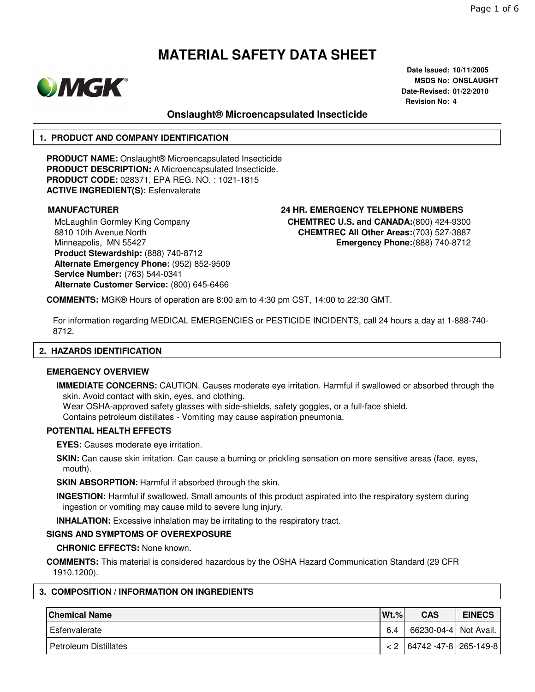

**Date Issued: 10/11/2005 MSDS No: ONSLAUGHT Date-Revised: 01/22/2010 Revision No: 4**

# **Onslaught® Microencapsulated Insecticide**

# **1. PRODUCT AND COMPANY IDENTIFICATION**

**PRODUCT NAME:** Onslaught® Microencapsulated Insecticide **PRODUCT DESCRIPTION:** A Microencapsulated Insecticide. **PRODUCT CODE:** 028371, EPA REG. NO. : 1021-1815 **ACTIVE INGREDIENT(S):** Esfenvalerate

McLaughlin Gormley King Company 8810 10th Avenue North Minneapolis, MN 55427 **Product Stewardship:** (888) 740-8712 **Alternate Emergency Phone:** (952) 852-9509 **Service Number:** (763) 544-0341 **Alternate Customer Service:** (800) 645-6466

**MANUFACTURER 24 HR. EMERGENCY TELEPHONE NUMBERS CHEMTREC U.S. and CANADA:**(800) 424-9300 **CHEMTREC All Other Areas:**(703) 527-3887 **Emergency Phone:**(888) 740-8712

**COMMENTS:** MGK® Hours of operation are 8:00 am to 4:30 pm CST, 14:00 to 22:30 GMT.

For information regarding MEDICAL EMERGENCIES or PESTICIDE INCIDENTS, call 24 hours a day at 1-888-740- 8712.

#### **2. HAZARDS IDENTIFICATION**

#### **EMERGENCY OVERVIEW**

**IMMEDIATE CONCERNS:** CAUTION. Causes moderate eye irritation. Harmful if swallowed or absorbed through the skin. Avoid contact with skin, eyes, and clothing.

Wear OSHA-approved safety glasses with side-shields, safety goggles, or a full-face shield. Contains petroleum distillates - Vomiting may cause aspiration pneumonia.

#### **POTENTIAL HEALTH EFFECTS**

**EYES:** Causes moderate eye irritation.

**SKIN:** Can cause skin irritation. Can cause a burning or prickling sensation on more sensitive areas (face, eyes, mouth).

**SKIN ABSORPTION:** Harmful if absorbed through the skin.

**INGESTION:** Harmful if swallowed. Small amounts of this product aspirated into the respiratory system during ingestion or vomiting may cause mild to severe lung injury.

**INHALATION:** Excessive inhalation may be irritating to the respiratory tract.

# **SIGNS AND SYMPTOMS OF OVEREXPOSURE**

**CHRONIC EFFECTS:** None known.

**COMMENTS:** This material is considered hazardous by the OSHA Hazard Communication Standard (29 CFR 1910.1200).

# **3. COMPOSITION / INFORMATION ON INGREDIENTS**

| <b>Chemical Name</b>  | $Wt.$ % | <b>CAS</b>                      | <b>EINECS</b> |
|-----------------------|---------|---------------------------------|---------------|
| Esfenvalerate         | 6.4     | 66230-04-4 Not Avail.           |               |
| Petroleum Distillates |         | $< 2$   64742 -47-8   265-149-8 |               |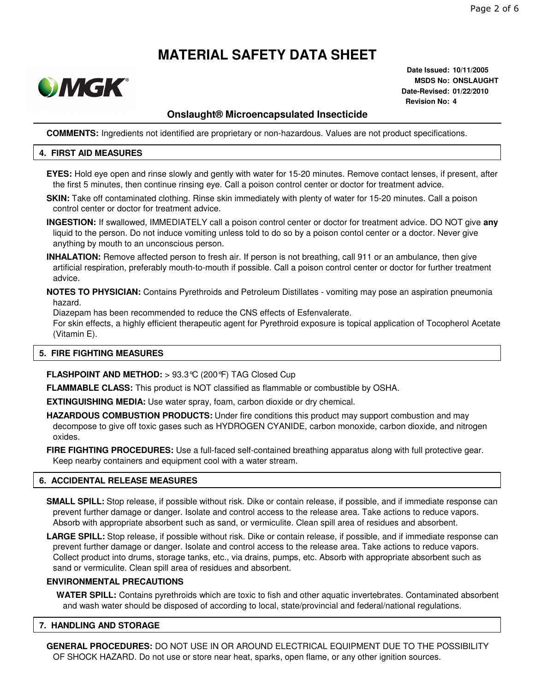

**Date Issued: 10/11/2005 MSDS No: ONSLAUGHT Date-Revised: 01/22/2010 Revision No: 4**

# **Onslaught® Microencapsulated Insecticide**

**COMMENTS:** Ingredients not identified are proprietary or non-hazardous. Values are not product specifications.

#### **4. FIRST AID MEASURES**

- **EYES:** Hold eye open and rinse slowly and gently with water for 15-20 minutes. Remove contact lenses, if present, after the first 5 minutes, then continue rinsing eye. Call a poison control center or doctor for treatment advice.
- **SKIN:** Take off contaminated clothing. Rinse skin immediately with plenty of water for 15-20 minutes. Call a poison control center or doctor for treatment advice.
- **INGESTION:** If swallowed, IMMEDIATELY call a poison control center or doctor for treatment advice. DO NOT give **any** liquid to the person. Do not induce vomiting unless told to do so by a poison contol center or a doctor. Never give anything by mouth to an unconscious person.
- **INHALATION:** Remove affected person to fresh air. If person is not breathing, call 911 or an ambulance, then give artificial respiration, preferably mouth-to-mouth if possible. Call a poison control center or doctor for further treatment advice.
- **NOTES TO PHYSICIAN:** Contains Pyrethroids and Petroleum Distillates vomiting may pose an aspiration pneumonia hazard.

Diazepam has been recommended to reduce the CNS effects of Esfenvalerate.

For skin effects, a highly efficient therapeutic agent for Pyrethroid exposure is topical application of Tocopherol Acetate (Vitamin E).

#### **5. FIRE FIGHTING MEASURES**

### **FLASHPOINT AND METHOD:** > 93.3°C (200°F) TAG Closed Cup

**FLAMMABLE CLASS:** This product is NOT classified as flammable or combustible by OSHA.

**EXTINGUISHING MEDIA:** Use water spray, foam, carbon dioxide or dry chemical.

**HAZARDOUS COMBUSTION PRODUCTS:** Under fire conditions this product may support combustion and may decompose to give off toxic gases such as HYDROGEN CYANIDE, carbon monoxide, carbon dioxide, and nitrogen oxides.

**FIRE FIGHTING PROCEDURES:** Use a full-faced self-contained breathing apparatus along with full protective gear. Keep nearby containers and equipment cool with a water stream.

## **6. ACCIDENTAL RELEASE MEASURES**

**SMALL SPILL:** Stop release, if possible without risk. Dike or contain release, if possible, and if immediate response can prevent further damage or danger. Isolate and control access to the release area. Take actions to reduce vapors. Absorb with appropriate absorbent such as sand, or vermiculite. Clean spill area of residues and absorbent.

**LARGE SPILL:** Stop release, if possible without risk. Dike or contain release, if possible, and if immediate response can prevent further damage or danger. Isolate and control access to the release area. Take actions to reduce vapors. Collect product into drums, storage tanks, etc., via drains, pumps, etc. Absorb with appropriate absorbent such as sand or vermiculite. Clean spill area of residues and absorbent.

### **ENVIRONMENTAL PRECAUTIONS**

**WATER SPILL:** Contains pyrethroids which are toxic to fish and other aquatic invertebrates. Contaminated absorbent and wash water should be disposed of according to local, state/provincial and federal/national regulations.

#### **7. HANDLING AND STORAGE**

**GENERAL PROCEDURES:** DO NOT USE IN OR AROUND ELECTRICAL EQUIPMENT DUE TO THE POSSIBILITY OF SHOCK HAZARD. Do not use or store near heat, sparks, open flame, or any other ignition sources.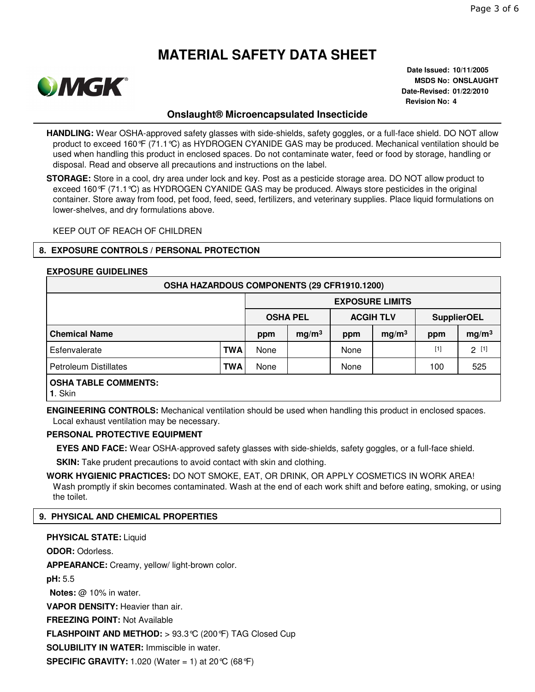

**Date Issued: 10/11/2005 MSDS No: ONSLAUGHT Date-Revised: 01/22/2010 Revision No: 4**

# **Onslaught® Microencapsulated Insecticide**

**HANDLING:** Wear OSHA-approved safety glasses with side-shields, safety goggles, or a full-face shield. DO NOT allow product to exceed 160°F (71.1°C) as HYDROGEN CYANIDE GAS may be produced. Mechanical ventilation should be used when handling this product in enclosed spaces. Do not contaminate water, feed or food by storage, handling or disposal. Read and observe all precautions and instructions on the label.

**STORAGE:** Store in a cool, dry area under lock and key. Post as a pesticide storage area. DO NOT allow product to exceed 160°F (71.1°C) as HYDROGEN CYANIDE GAS may be produced. Always store pesticides in the original container. Store away from food, pet food, feed, seed, fertilizers, and veterinary supplies. Place liquid formulations on lower-shelves, and dry formulations above.

KEEP OUT OF REACH OF CHILDREN

## **8. EXPOSURE CONTROLS / PERSONAL PROTECTION**

#### **EXPOSURE GUIDELINES**

| OSHA HAZARDOUS COMPONENTS (29 CFR1910.1200)   |            |                        |                   |                  |                   |                    |                   |  |  |  |
|-----------------------------------------------|------------|------------------------|-------------------|------------------|-------------------|--------------------|-------------------|--|--|--|
|                                               |            | <b>EXPOSURE LIMITS</b> |                   |                  |                   |                    |                   |  |  |  |
|                                               |            | <b>OSHA PEL</b>        |                   | <b>ACGIH TLV</b> |                   | <b>SupplierOEL</b> |                   |  |  |  |
| <b>Chemical Name</b>                          |            | ppm                    | mg/m <sup>3</sup> | ppm              | mg/m <sup>3</sup> | ppm                | mg/m <sup>3</sup> |  |  |  |
| Esfenvalerate                                 | <b>TWA</b> | None                   |                   | None             |                   | $[1]$              | $2^{[1]}$         |  |  |  |
| <b>Petroleum Distillates</b>                  | TWA        | None                   |                   | None             |                   | 100                | 525               |  |  |  |
| <b>OSHA TABLE COMMENTS:</b><br><b>1. Skin</b> |            |                        |                   |                  |                   |                    |                   |  |  |  |

**ENGINEERING CONTROLS:** Mechanical ventilation should be used when handling this product in enclosed spaces. Local exhaust ventilation may be necessary.

#### **PERSONAL PROTECTIVE EQUIPMENT**

**EYES AND FACE:** Wear OSHA-approved safety glasses with side-shields, safety goggles, or a full-face shield.

**SKIN:** Take prudent precautions to avoid contact with skin and clothing.

**WORK HYGIENIC PRACTICES:** DO NOT SMOKE, EAT, OR DRINK, OR APPLY COSMETICS IN WORK AREA! Wash promptly if skin becomes contaminated. Wash at the end of each work shift and before eating, smoking, or using the toilet.

# **9. PHYSICAL AND CHEMICAL PROPERTIES**

**PHYSICAL STATE:** Liquid **ODOR:** Odorless. **APPEARANCE:** Creamy, yellow/ light-brown color. **pH:** 5.5 **Notes:** @ 10% in water. **VAPOR DENSITY:** Heavier than air. **FREEZING POINT:** Not Available **FLASHPOINT AND METHOD:** > 93.3°C (200°F) TAG Closed Cup **SOLUBILITY IN WATER:** Immiscible in water. **SPECIFIC GRAVITY:** 1.020 (Water = 1) at 20 °C (68 °F)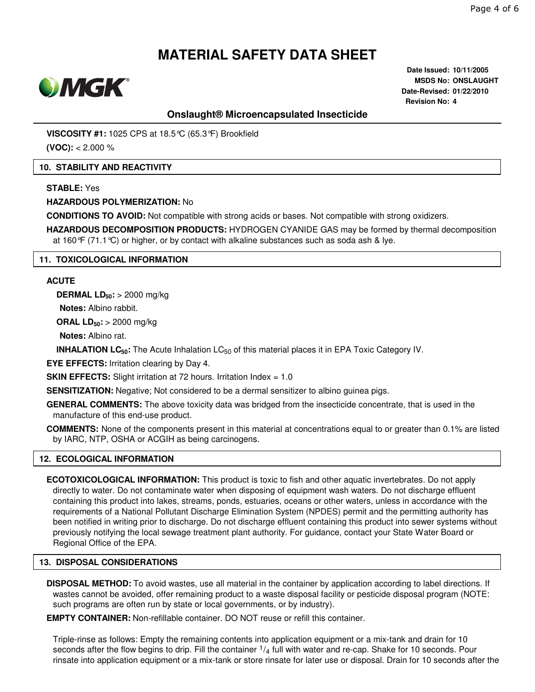

**Date Issued: 10/11/2005 MSDS No: ONSLAUGHT Date-Revised: 01/22/2010 Revision No: 4**

# **Onslaught® Microencapsulated Insecticide**

**VISCOSITY #1:** 1025 CPS at 18.5°C (65.3°F) Brookfield

**(VOC):** < 2.000 %

## **10. STABILITY AND REACTIVITY**

### **STABLE:** Yes

**HAZARDOUS POLYMERIZATION:** No

**CONDITIONS TO AVOID:** Not compatible with strong acids or bases. Not compatible with strong oxidizers.

**HAZARDOUS DECOMPOSITION PRODUCTS:** HYDROGEN CYANIDE GAS may be formed by thermal decomposition at 160 $\mathcal{F}$  (71.1 $\mathcal{C}$ ) or higher, or by contact with alkaline substances such as soda ash & lye.

## **11. TOXICOLOGICAL INFORMATION**

#### **ACUTE**

**DERMAL LD50:** > 2000 mg/kg

**Notes:** Albino rabbit.

**ORAL LD50:** > 2000 mg/kg

**Notes:** Albino rat.

**INHALATION LC<sub>50</sub>**: The Acute Inhalation LC<sub>50</sub> of this material places it in EPA Toxic Category IV.

**EYE EFFECTS:** Irritation clearing by Day 4.

**SKIN EFFECTS:** Slight irritation at 72 hours. Irritation Index = 1.0

**SENSITIZATION:** Negative; Not considered to be a dermal sensitizer to albino guinea pigs.

**GENERAL COMMENTS:** The above toxicity data was bridged from the insecticide concentrate, that is used in the manufacture of this end-use product.

**COMMENTS:** None of the components present in this material at concentrations equal to or greater than 0.1% are listed by IARC, NTP, OSHA or ACGIH as being carcinogens.

# **12. ECOLOGICAL INFORMATION**

**ECOTOXICOLOGICAL INFORMATION:** This product is toxic to fish and other aquatic invertebrates. Do not apply directly to water. Do not contaminate water when disposing of equipment wash waters. Do not discharge effluent containing this product into lakes, streams, ponds, estuaries, oceans or other waters, unless in accordance with the requirements of a National Pollutant Discharge Elimination System (NPDES) permit and the permitting authority has been notified in writing prior to discharge. Do not discharge effluent containing this product into sewer systems without previously notifying the local sewage treatment plant authority. For guidance, contact your State Water Board or Regional Office of the EPA.

# **13. DISPOSAL CONSIDERATIONS**

**DISPOSAL METHOD:** To avoid wastes, use all material in the container by application according to label directions. If wastes cannot be avoided, offer remaining product to a waste disposal facility or pesticide disposal program (NOTE: such programs are often run by state or local governments, or by industry).

**EMPTY CONTAINER:** Non-refillable container. DO NOT reuse or refill this container.

Triple-rinse as follows: Empty the remaining contents into application equipment or a mix-tank and drain for 10 seconds after the flow begins to drip. Fill the container  $1/4$  full with water and re-cap. Shake for 10 seconds. Pour rinsate into application equipment or a mix-tank or store rinsate for later use or disposal. Drain for 10 seconds after the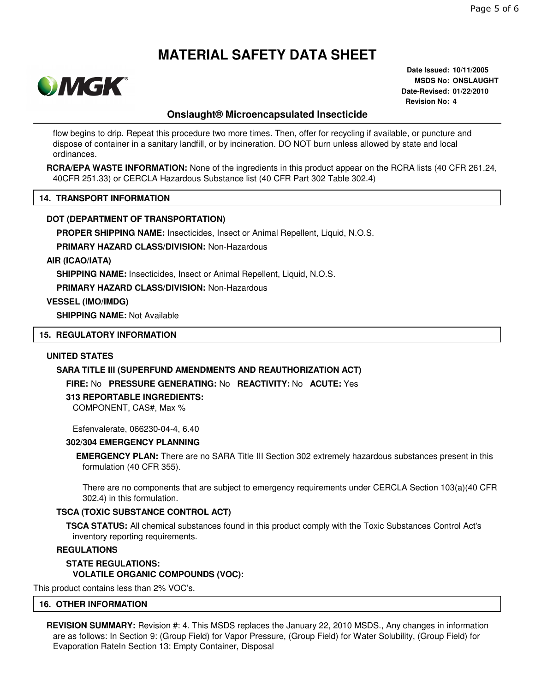

**Date Issued: 10/11/2005 MSDS No: ONSLAUGHT Date-Revised: 01/22/2010 Revision No: 4**

# **Onslaught® Microencapsulated Insecticide**

flow begins to drip. Repeat this procedure two more times. Then, offer for recycling if available, or puncture and dispose of container in a sanitary landfill, or by incineration. DO NOT burn unless allowed by state and local ordinances.

**RCRA/EPA WASTE INFORMATION:** None of the ingredients in this product appear on the RCRA lists (40 CFR 261.24, 40CFR 251.33) or CERCLA Hazardous Substance list (40 CFR Part 302 Table 302.4)

#### **14. TRANSPORT INFORMATION**

#### **DOT (DEPARTMENT OF TRANSPORTATION)**

**PROPER SHIPPING NAME:** Insecticides, Insect or Animal Repellent, Liquid, N.O.S.

**PRIMARY HAZARD CLASS/DIVISION:** Non-Hazardous

#### **AIR (ICAO/IATA)**

**SHIPPING NAME:** Insecticides, Insect or Animal Repellent, Liquid, N.O.S.

**PRIMARY HAZARD CLASS/DIVISION:** Non-Hazardous

#### **VESSEL (IMO/IMDG)**

**SHIPPING NAME:** Not Available

#### **15. REGULATORY INFORMATION**

#### **UNITED STATES**

### **SARA TITLE III (SUPERFUND AMENDMENTS AND REAUTHORIZATION ACT)**

**FIRE:** No **PRESSURE GENERATING:** No **REACTIVITY:** No **ACUTE:** Yes

#### **313 REPORTABLE INGREDIENTS:**

COMPONENT, CAS#, Max %

Esfenvalerate, 066230-04-4, 6.40

#### **302/304 EMERGENCY PLANNING**

**EMERGENCY PLAN:** There are no SARA Title III Section 302 extremely hazardous substances present in this formulation (40 CFR 355).

There are no components that are subject to emergency requirements under CERCLA Section 103(a)(40 CFR 302.4) in this formulation.

#### **TSCA (TOXIC SUBSTANCE CONTROL ACT)**

**TSCA STATUS:** All chemical substances found in this product comply with the Toxic Substances Control Act's inventory reporting requirements.

#### **REGULATIONS**

# **STATE REGULATIONS: VOLATILE ORGANIC COMPOUNDS (VOC):**

This product contains less than 2% VOC's.

#### **16. OTHER INFORMATION**

**REVISION SUMMARY:** Revision #: 4. This MSDS replaces the January 22, 2010 MSDS., Any changes in information are as follows: In Section 9: (Group Field) for Vapor Pressure, (Group Field) for Water Solubility, (Group Field) for Evaporation RateIn Section 13: Empty Container, Disposal